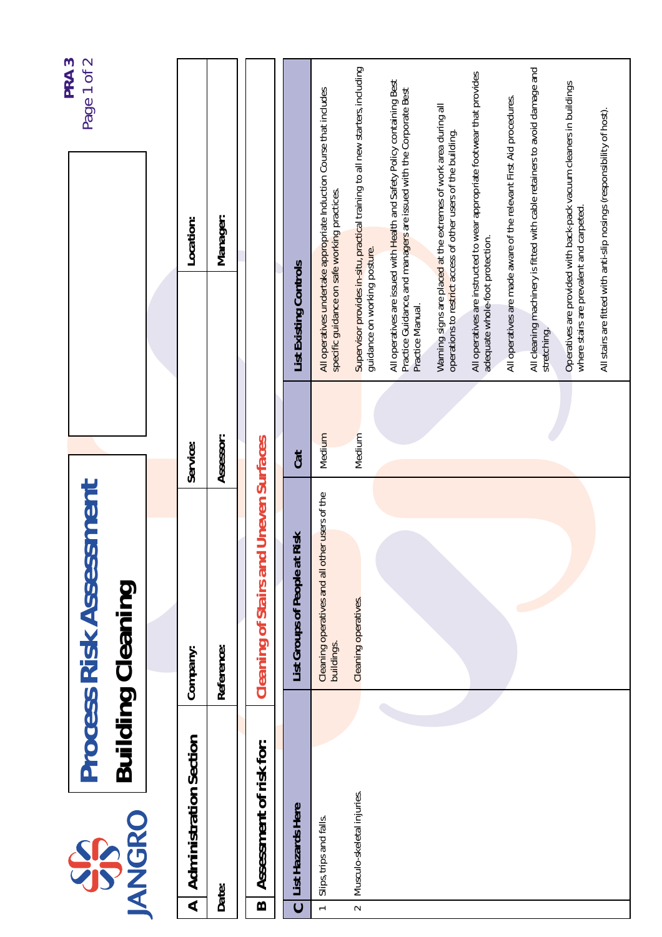| PRA <sub>3</sub> | Page 1 of 2                                                |                                    |            |                                               |                               |                                                                     |                                                                                |                                                                                                                                               |                                                                                                                                  |                                                                          |                                                                     |                                                                           |                                                                     |                                                                        |
|------------------|------------------------------------------------------------|------------------------------------|------------|-----------------------------------------------|-------------------------------|---------------------------------------------------------------------|--------------------------------------------------------------------------------|-----------------------------------------------------------------------------------------------------------------------------------------------|----------------------------------------------------------------------------------------------------------------------------------|--------------------------------------------------------------------------|---------------------------------------------------------------------|---------------------------------------------------------------------------|---------------------------------------------------------------------|------------------------------------------------------------------------|
|                  |                                                            | Location:                          | Manager:   |                                               |                               | All operatives undertake appropriate Induction Course that includes | Supervisor provides in-situ, practical training to all new starters, including | All operatives are issued with Health and Safety Policy containing Best<br>Practice Guidance, and managers are issued with the Corporate Best | Warning signs are placed at the extremes of work area during all<br>operations to restrict access of other users of the building | All operatives are instructed to wear appropriate footwear that provides | All operatives are made aware of the relevant First Aid procedures. | All cleaning machinery is fitted with cable retainers to avoid damage and | Operatives are provided with back-pack vacuum cleaners in buildings | All stairs are fitted with anti-slip nosings (responsibility of host). |
|                  |                                                            |                                    |            |                                               | List Existing Controls        | specific guidance on safe working practices.                        | guidance on working posture.                                                   | Practice Manual.                                                                                                                              |                                                                                                                                  | adequate whole-foot protection.                                          |                                                                     | stretching.                                                               | where stairs are prevalent and carpeted.                            |                                                                        |
|                  |                                                            | Service:                           | Assessor:  |                                               | Cat                           | Medium                                                              | Medium                                                                         |                                                                                                                                               |                                                                                                                                  |                                                                          |                                                                     |                                                                           |                                                                     |                                                                        |
|                  | <b>Process Risk Assessment</b><br><b>Building Cleaning</b> | Company:                           | Reference: | <b>Cleaning of Stairs and Uneven Surfaces</b> | List Groups of People at Risk | Cleaning operatives and all other users of the<br>buildings.        | Cleaning operatives.                                                           |                                                                                                                                               |                                                                                                                                  |                                                                          |                                                                     |                                                                           |                                                                     |                                                                        |
|                  |                                                            |                                    |            |                                               |                               |                                                                     |                                                                                |                                                                                                                                               |                                                                                                                                  |                                                                          |                                                                     |                                                                           |                                                                     |                                                                        |
|                  | <b>ANGRO</b><br>SS                                         | <b>Administration Section</b><br>⋖ | Date:      | Assessment of risk for:<br>$\mathbf{\Omega}$  | List Hazards Here             | Slips, trips and falls.<br>$\leftarrow$                             | Musculo-skeletal injuries.<br>$\sim$                                           |                                                                                                                                               |                                                                                                                                  |                                                                          |                                                                     |                                                                           |                                                                     |                                                                        |
|                  |                                                            |                                    |            |                                               | $\mathbf C$                   |                                                                     |                                                                                |                                                                                                                                               |                                                                                                                                  |                                                                          |                                                                     |                                                                           |                                                                     |                                                                        |